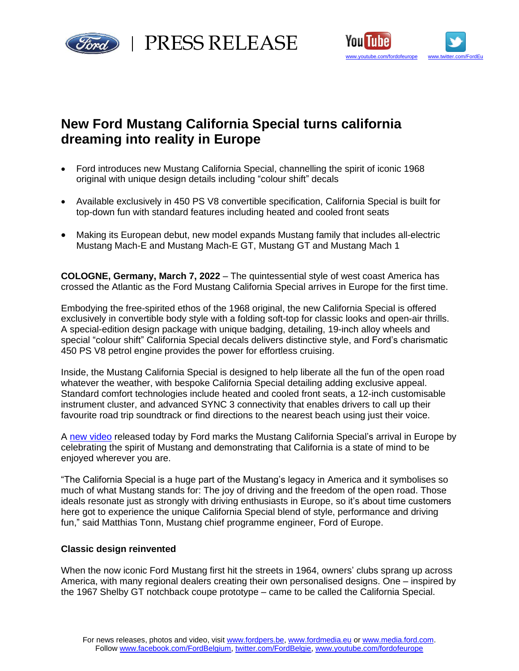

PRESS RELEASE



# **New Ford Mustang California Special turns california dreaming into reality in Europe**

- Ford introduces new Mustang California Special, channelling the spirit of iconic 1968 original with unique design details including "colour shift" decals
- Available exclusively in 450 PS V8 convertible specification, California Special is built for top-down fun with standard features including heated and cooled front seats
- Making its European debut, new model expands Mustang family that includes all-electric Mustang Mach-E and Mustang Mach-E GT, Mustang GT and Mustang Mach 1

**COLOGNE, Germany, March 7, 2022** – The quintessential style of west coast America has crossed the Atlantic as the Ford Mustang California Special arrives in Europe for the first time.

Embodying the free-spirited ethos of the 1968 original, the new California Special is offered exclusively in convertible body style with a folding soft-top for classic looks and open-air thrills. A special-edition design package with unique badging, detailing, 19-inch alloy wheels and special "colour shift" California Special decals delivers distinctive style, and Ford's charismatic 450 PS V8 petrol engine provides the power for effortless cruising.

Inside, the Mustang California Special is designed to help liberate all the fun of the open road whatever the weather, with bespoke California Special detailing adding exclusive appeal. Standard comfort technologies include heated and cooled front seats, a 12-inch customisable instrument cluster, and advanced SYNC 3 connectivity that enables drivers to call up their favourite road trip soundtrack or find directions to the nearest beach using just their voice.

A [new video](https://youtu.be/WtKU2C-v4pk) released today by Ford marks the Mustang California Special's arrival in Europe by celebrating the spirit of Mustang and demonstrating that California is a state of mind to be enjoyed wherever you are.

"The California Special is a huge part of the Mustang's legacy in America and it symbolises so much of what Mustang stands for: The joy of driving and the freedom of the open road. Those ideals resonate just as strongly with driving enthusiasts in Europe, so it's about time customers here got to experience the unique California Special blend of style, performance and driving fun," said Matthias Tonn, Mustang chief programme engineer, Ford of Europe.

## **Classic design reinvented**

When the now iconic Ford Mustang first hit the streets in 1964, owners' clubs sprang up across America, with many regional dealers creating their own personalised designs. One – inspired by the 1967 Shelby GT notchback coupe prototype – came to be called the California Special.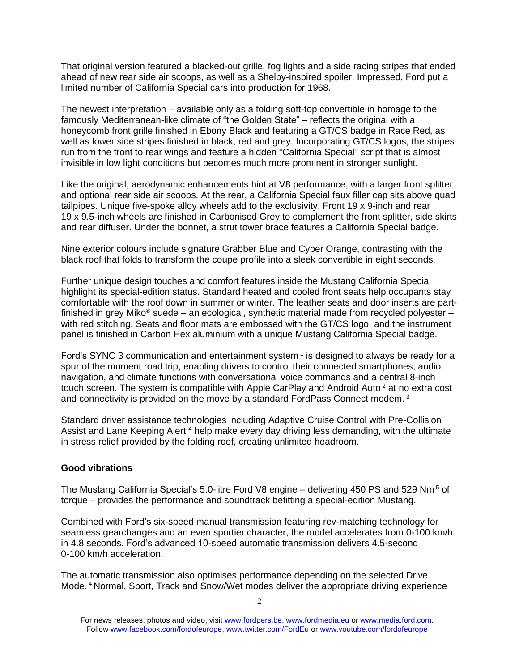That original version featured a blacked-out grille, fog lights and a side racing stripes that ended ahead of new rear side air scoops, as well as a Shelby-inspired spoiler. Impressed, Ford put a limited number of California Special cars into production for 1968.

The newest interpretation – available only as a folding soft-top convertible in homage to the famously Mediterranean-like climate of "the Golden State" – reflects the original with a honeycomb front grille finished in Ebony Black and featuring a GT/CS badge in Race Red, as well as lower side stripes finished in black, red and grey. Incorporating GT/CS logos, the stripes run from the front to rear wings and feature a hidden "California Special" script that is almost invisible in low light conditions but becomes much more prominent in stronger sunlight.

Like the original, aerodynamic enhancements hint at V8 performance, with a larger front splitter and optional rear side air scoops. At the rear, a California Special faux filler cap sits above quad tailpipes. Unique five-spoke alloy wheels add to the exclusivity. Front 19 x 9-inch and rear 19 x 9.5-inch wheels are finished in Carbonised Grey to complement the front splitter, side skirts and rear diffuser. Under the bonnet, a strut tower brace features a California Special badge.

Nine exterior colours include signature Grabber Blue and Cyber Orange, contrasting with the black roof that folds to transform the coupe profile into a sleek convertible in eight seconds.

Further unique design touches and comfort features inside the Mustang California Special highlight its special-edition status. Standard heated and cooled front seats help occupants stay comfortable with the roof down in summer or winter. The leather seats and door inserts are partfinished in grey Miko<sup>®</sup> suede – an ecological, synthetic material made from recycled polyester – with red stitching. Seats and floor mats are embossed with the GT/CS logo, and the instrument panel is finished in Carbon Hex aluminium with a unique Mustang California Special badge.

Ford's SYNC 3 communication and entertainment system<sup>1</sup> is designed to always be ready for a spur of the moment road trip, enabling drivers to control their connected smartphones, audio, navigation, and climate functions with conversational voice commands and a central 8-inch touch screen. The system is compatible with Apple CarPlay and Android Auto<sup>2</sup> at no extra cost and connectivity is provided on the move by a standard FordPass Connect modem. <sup>3</sup>

Standard driver assistance technologies including Adaptive Cruise Control with Pre-Collision Assist and Lane Keeping Alert<sup>4</sup> help make every day driving less demanding, with the ultimate in stress relief provided by the folding roof, creating unlimited headroom.

### **Good vibrations**

The Mustang California Special's 5.0-litre Ford V8 engine – delivering 450 PS and 529 Nm <sup>5</sup> of torque – provides the performance and soundtrack befitting a special-edition Mustang.

Combined with Ford's six-speed manual transmission featuring rev-matching technology for seamless gearchanges and an even sportier character, the model accelerates from 0-100 km/h in 4.8 seconds. Ford's advanced 10-speed automatic transmission delivers 4.5-second 0-100 km/h acceleration.

The automatic transmission also optimises performance depending on the selected Drive Mode. <sup>4</sup> Normal, Sport, Track and Snow/Wet modes deliver the appropriate driving experience

For news releases, photos and video, visit [www.fordpers.be,](http://www.fordpers.be/) [www.fordmedia.eu](http://www.fordmedia.eu/) or [www.media.ford.com.](http://www.media.ford.com/) Follo[w www.facebook.com/fordofeurope,](http://www.facebook.com/fordofeurope) [www.twitter.com/FordEu](http://www.twitter.com/FordEu) o[r www.youtube.com/fordofeurope](http://www.youtube.com/fordofeurope)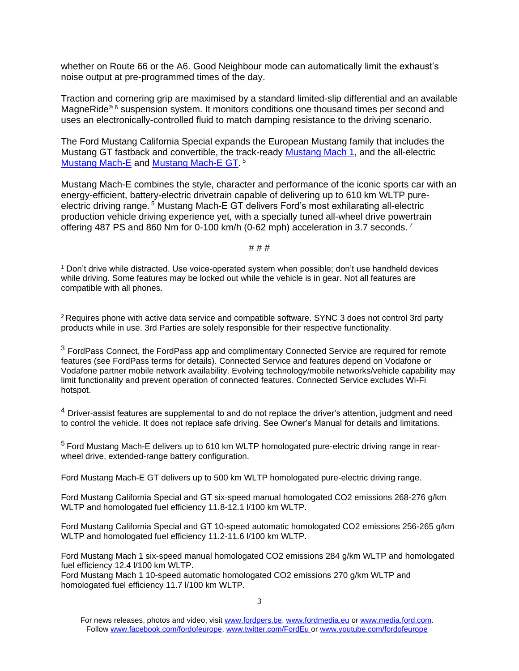whether on Route 66 or the A6. Good Neighbour mode can automatically limit the exhaust's noise output at pre-programmed times of the day.

Traction and cornering grip are maximised by a standard limited-slip differential and an available MagneRide<sup>® 6</sup> suspension system. It monitors conditions one thousand times per second and uses an electronically-controlled fluid to match damping resistance to the driving scenario.

The Ford Mustang California Special expands the European Mustang family that includes the Mustang GT fastback and convertible, the track-ready [Mustang Mach 1,](https://www.youtube.com/watch?v=yDk1uXDTxa8) and the all-electric [Mustang Mach-E](https://www.youtube.com/watch?v=IzVPPdM1Duw) and [Mustang Mach-E GT.](https://www.youtube.com/watch?v=TB6gvowtbJo)<sup>5</sup>

Mustang Mach-E combines the style, character and performance of the iconic sports car with an energy-efficient, battery-electric drivetrain capable of delivering up to 610 km WLTP pureelectric driving range.<sup>5</sup> Mustang Mach-E GT delivers Ford's most exhilarating all-electric production vehicle driving experience yet, with a specially tuned all-wheel drive powertrain offering 487 PS and 860 Nm for 0-100 km/h (0-62 mph) acceleration in 3.7 seconds.<sup>7</sup>

# # #

<sup>1</sup> Don't drive while distracted. Use voice-operated system when possible; don't use handheld devices while driving. Some features may be locked out while the vehicle is in gear. Not all features are compatible with all phones.

<sup>2</sup> Requires phone with active data service and compatible software. SYNC 3 does not control 3rd party products while in use. 3rd Parties are solely responsible for their respective functionality.

 $3$  FordPass Connect, the FordPass app and complimentary Connected Service are required for remote features (see FordPass terms for details). Connected Service and features depend on Vodafone or Vodafone partner mobile network availability. Evolving technology/mobile networks/vehicle capability may limit functionality and prevent operation of connected features. Connected Service excludes Wi-Fi hotspot.

<sup>4</sup> Driver-assist features are supplemental to and do not replace the driver's attention, judgment and need to control the vehicle. It does not replace safe driving. See Owner's Manual for details and limitations.

<sup>5</sup> Ford Mustang Mach-E delivers up to 610 km WLTP homologated pure-electric driving range in rearwheel drive, extended-range battery configuration.

Ford Mustang Mach-E GT delivers up to 500 km WLTP homologated pure-electric driving range.

Ford Mustang California Special and GT six-speed manual homologated CO2 emissions 268-276 g/km WLTP and homologated fuel efficiency 11.8-12.1 l/100 km WLTP.

Ford Mustang California Special and GT 10-speed automatic homologated CO2 emissions 256-265 g/km WLTP and homologated fuel efficiency 11.2-11.6 l/100 km WLTP.

Ford Mustang Mach 1 six-speed manual homologated CO2 emissions 284 g/km WLTP and homologated fuel efficiency 12.4 l/100 km WLTP.

Ford Mustang Mach 1 10-speed automatic homologated CO2 emissions 270 g/km WLTP and homologated fuel efficiency 11.7 l/100 km WLTP.

For news releases, photos and video, visit [www.fordpers.be,](http://www.fordpers.be/) [www.fordmedia.eu](http://www.fordmedia.eu/) or [www.media.ford.com.](http://www.media.ford.com/) Follo[w www.facebook.com/fordofeurope,](http://www.facebook.com/fordofeurope) [www.twitter.com/FordEu](http://www.twitter.com/FordEu) o[r www.youtube.com/fordofeurope](http://www.youtube.com/fordofeurope)